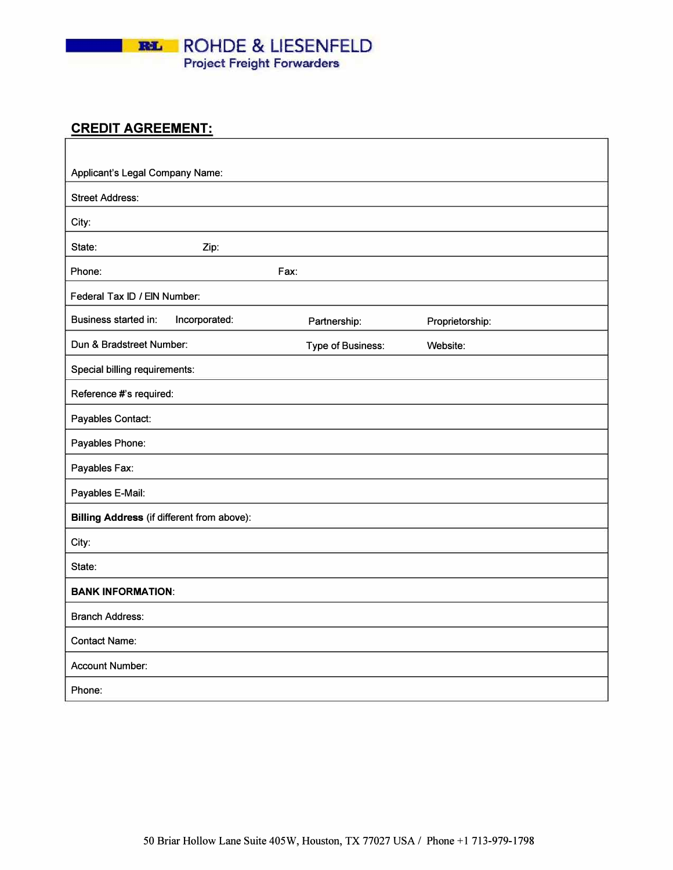

### **CREDIT AGREEMENT:**

| Applicant's Legal Company Name:                   |                   |                 |
|---------------------------------------------------|-------------------|-----------------|
| <b>Street Address:</b>                            |                   |                 |
| City:                                             |                   |                 |
| State:<br>Zip:                                    |                   |                 |
| Phone:<br>Fax:                                    |                   |                 |
| Federal Tax ID / EIN Number:                      |                   |                 |
| Incorporated:<br>Business started in:             | Partnership:      | Proprietorship: |
| Dun & Bradstreet Number:                          | Type of Business: | Website:        |
| Special billing requirements:                     |                   |                 |
| Reference #'s required:                           |                   |                 |
| Payables Contact:                                 |                   |                 |
| Payables Phone:                                   |                   |                 |
| Payables Fax:                                     |                   |                 |
| Payables E-Mail:                                  |                   |                 |
| <b>Billing Address (if different from above):</b> |                   |                 |
| City:                                             |                   |                 |
| State:                                            |                   |                 |
| <b>BANK INFORMATION:</b>                          |                   |                 |
| <b>Branch Address:</b>                            |                   |                 |
| <b>Contact Name:</b>                              |                   |                 |
| <b>Account Number:</b>                            |                   |                 |
| Phone:                                            |                   |                 |

٦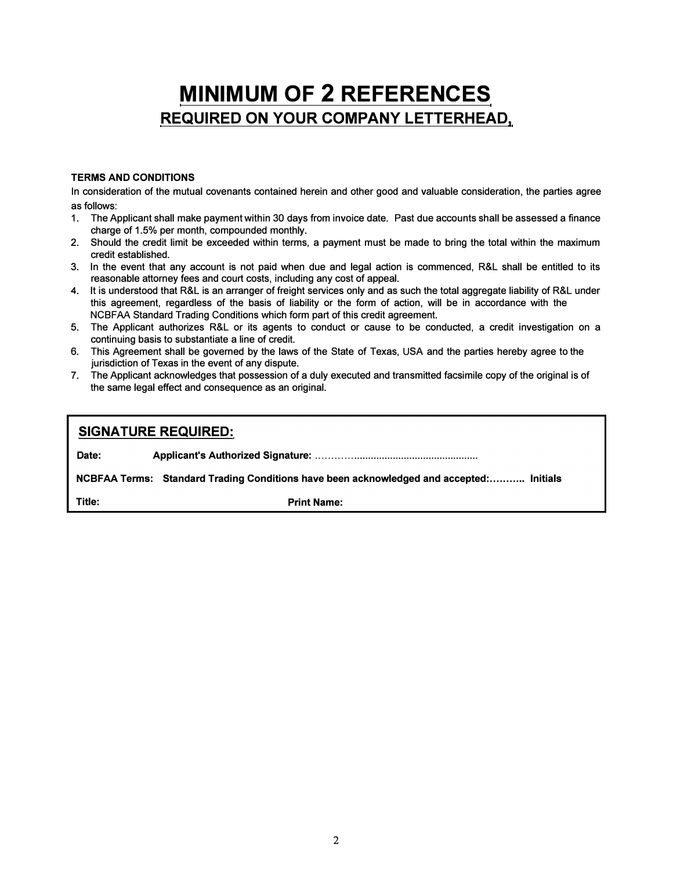# **MINIMUM OF 2 REFERENCES REQUIRED ON YOUR COMPANY LETTERHEAD,**

#### **TERMS AND CONDITIONS**

In consideration of the mutual covenants contained herein and other good and valuable consideration, the parties agree as follows:

- 1. The Applicant shall make payment within 30 days from invoice date. Past due accounts shall be assessed a finance charge of 1.5% per month, compounded monthly.
- 2. Should the credit limit be exceeded within terms, a payment must be made to bring the total within the maximum credit established.
- 3. In the event that any account is not paid when due and legal action is commenced, R&L shall be entitled to its reasonable attorney fees and court costs, including any cost of appeal.
- 4. It is understood that R&L is an arranger of freight services only and as such the total aggregate liability of R&L under this agreement, regardless of the basis of liability or the form of action, will be in accordance with the NCBFAA Standard Trading Conditions which form part of this credit agreement.
- 5. The Applicant authorizes R&L or its agents to conduct or cause to be conducted, a credit investigation on a continuing basis to substantiate a line of credit.
- 6. This Agreement shall be governed by the laws of the State of Texas, USA and the parties hereby agree to the jurisdiction of Texas in the event of any dispute.
- 7. The Applicant acknowledges that possession of a duly executed and transmitted facsimile copy of the original is of the same legal effect and consequence as an original.

| <b>SIGNATURE REQUIRED:</b>                                                              |                    |  |
|-----------------------------------------------------------------------------------------|--------------------|--|
| Date:                                                                                   |                    |  |
| NCBFAA Terms: Standard Trading Conditions have been acknowledged and accepted: Initials |                    |  |
| Title:                                                                                  | <b>Print Name:</b> |  |
|                                                                                         |                    |  |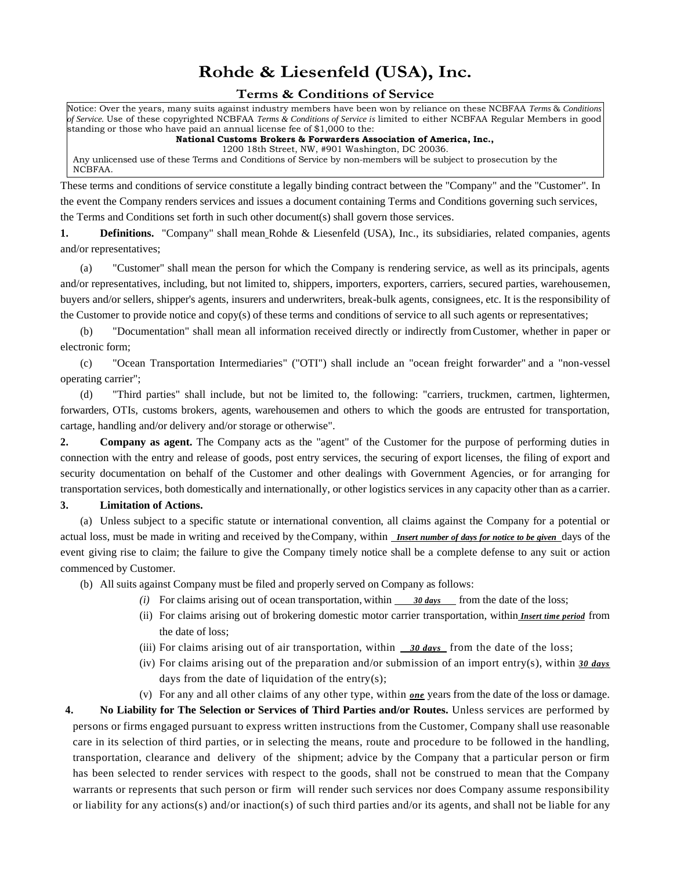## **Rohde & Liesenfeld (USA), Inc.**

#### **Terms & Conditions of Service**

Notice: Over the years, many suits against industry members have been won by reliance on these NCBFAA *Terms* & *Conditions of Service.* Use of these copyrighted NCBFAA *Terms & Conditions of Service is* limited to either NCBFAA Regular Members in good standing or those who have paid an annual license fee of \$1,000 to the:

#### **National Customs Brokers & Forwarders Association of America, Inc.,**

1200 18th Street, NW, #901 Washington, DC 20036.

Any unlicensed use of these Terms and Conditions of Service by non-members will be subject to prosecution by the NCBFAA.

These terms and conditions of service constitute a legally binding contract between the "Company" and the "Customer". In the event the Company renders services and issues a document containing Terms and Conditions governing such services, the Terms and Conditions set forth in such other document(s) shall govern those services.

**1. Definitions.** "Company" shall mean Rohde & Liesenfeld (USA), Inc., its subsidiaries, related companies, agents and/or representatives;

(a) "Customer" shall mean the person for which the Company is rendering service, as well as its principals, agents and/or representatives, including, but not limited to, shippers, importers, exporters, carriers, secured parties, warehousemen, buyers and/or sellers, shipper's agents, insurers and underwriters, break-bulk agents, consignees, etc. It is the responsibility of the Customer to provide notice and copy(s) of these terms and conditions of service to all such agents or representatives;

(b) "Documentation" shall mean all information received directly or indirectly fromCustomer, whether in paper or electronic form;

(c) "Ocean Transportation Intermediaries" ("OTI") shall include an "ocean freight forwarder" and a "non-vessel operating carrier";

(d) "Third parties" shall include, but not be limited to, the following: "carriers, truckmen, cartmen, lightermen, forwarders, OTIs, customs brokers, agents, warehousemen and others to which the goods are entrusted for transportation, cartage, handling and/or delivery and/or storage or otherwise".

**2. Company as agent.** The Company acts as the "agent" of the Customer for the purpose of performing duties in connection with the entry and release of goods, post entry services, the securing of export licenses, the filing of export and security documentation on behalf of the Customer and other dealings with Government Agencies, or for arranging for transportation services, both domestically and internationally, or other logistics services in any capacity other than as a carrier.

#### **3. Limitation of Actions.**

(a) Unless subject to a specific statute or international convention, all claims against the Company for a potential or actual loss, must be made in writing and received by theCompany, within *Insert number of days for notice to be given* days of the event giving rise to claim; the failure to give the Company timely notice shall be a complete defense to any suit or action commenced by Customer.

(b) All suits against Company must be filed and properly served on Company as follows:

- *(i)* For claims arising out of ocean transportation, within *30 days* from the date of the loss;
- (ii) For claims arising out of brokering domestic motor carrier transportation, within *Insert time period* from the date of loss;
- (iii) For claims arising out of air transportation, within *30 days* from the date of the loss;
- (iv) For claims arising out of the preparation and/or submission of an import entry(s), within *30 days*  days from the date of liquidation of the entry $(s)$ ;
- (v) For any and all other claims of any other type, within *one* years from the date of the loss or damage.

**4. No Liability for The Selection or Services of Third Parties and/or Routes.** Unless services are performed by persons or firms engaged pursuant to express written instructions from the Customer, Company shall use reasonable care in its selection of third parties, or in selecting the means, route and procedure to be followed in the handling, transportation, clearance and delivery of the shipment; advice by the Company that a particular person or firm has been selected to render services with respect to the goods, shall not be construed to mean that the Company warrants or represents that such person or firm will render such services nor does Company assume responsibility or liability for any actions(s) and/or inaction(s) of such third parties and/or its agents, and shall not be liable for any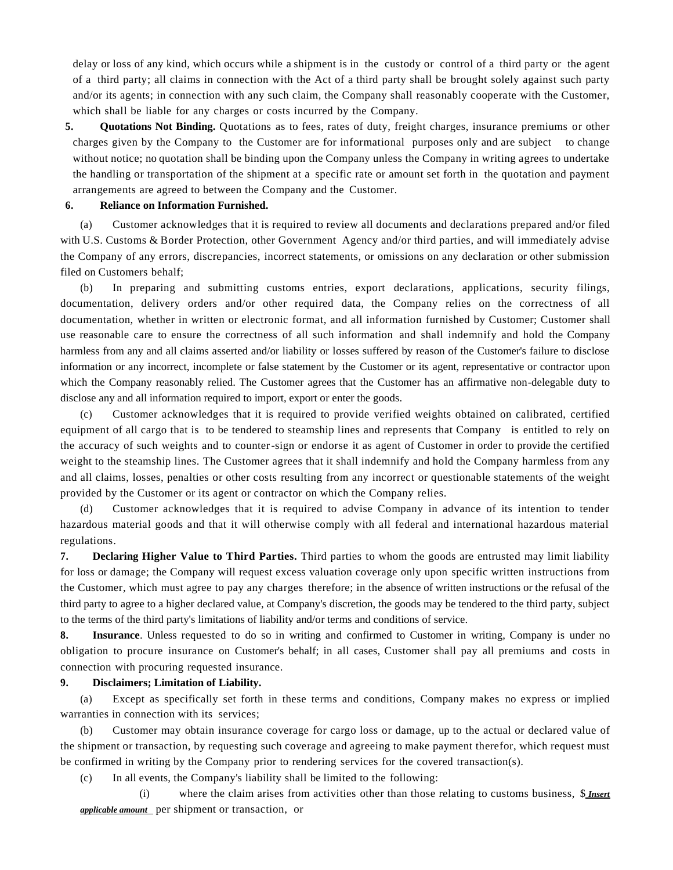delay or loss of any kind, which occurs while a shipment is in the custody or control of a third party or the agent of a third party; all claims in connection with the Act of a third party shall be brought solely against such party and/or its agents; in connection with any such claim, the Company shall reasonably cooperate with the Customer, which shall be liable for any charges or costs incurred by the Company.

**5. Quotations Not Binding.** Quotations as to fees, rates of duty, freight charges, insurance premiums or other charges given by the Company to the Customer are for informational purposes only and are subject to change without notice; no quotation shall be binding upon the Company unless the Company in writing agrees to undertake the handling or transportation of the shipment at a specific rate or amount set forth in the quotation and payment arrangements are agreed to between the Company and the Customer.

#### **6. Reliance on Information Furnished.**

(a) Customer acknowledges that it is required to review all documents and declarations prepared and/or filed with U.S. Customs & Border Protection, other Government Agency and/or third parties, and will immediately advise the Company of any errors, discrepancies, incorrect statements, or omissions on any declaration or other submission filed on Customers behalf;

(b) In preparing and submitting customs entries, export declarations, applications, security filings, documentation, delivery orders and/or other required data, the Company relies on the correctness of all documentation, whether in written or electronic format, and all information furnished by Customer; Customer shall use reasonable care to ensure the correctness of all such information and shall indemnify and hold the Company harmless from any and all claims asserted and/or liability or losses suffered by reason of the Customer's failure to disclose information or any incorrect, incomplete or false statement by the Customer or its agent, representative or contractor upon which the Company reasonably relied. The Customer agrees that the Customer has an affirmative non-delegable duty to disclose any and all information required to import, export or enter the goods.

(c) Customer acknowledges that it is required to provide verified weights obtained on calibrated, certified equipment of all cargo that is to be tendered to steamship lines and represents that Company is entitled to rely on the accuracy of such weights and to counter-sign or endorse it as agent of Customer in order to provide the certified weight to the steamship lines. The Customer agrees that it shall indemnify and hold the Company harmless from any and all claims, losses, penalties or other costs resulting from any incorrect or questionable statements of the weight provided by the Customer or its agent or contractor on which the Company relies.

(d) Customer acknowledges that it is required to advise Company in advance of its intention to tender hazardous material goods and that it will otherwise comply with all federal and international hazardous material regulations.

**7. Declaring Higher Value to Third Parties.** Third parties to whom the goods are entrusted may limit liability for loss or damage; the Company will request excess valuation coverage only upon specific written instructions from the Customer, which must agree to pay any charges therefore; in the absence of written instructions or the refusal of the third party to agree to a higher declared value, at Company's discretion, the goods may be tendered to the third party, subject to the terms of the third party's limitations of liability and/or terms and conditions of service.

**8. Insurance**. Unless requested to do so in writing and confirmed to Customer in writing, Company is under no obligation to procure insurance on Customer's behalf; in all cases, Customer shall pay all premiums and costs in connection with procuring requested insurance.

#### **9. Disclaimers; Limitation of Liability.**

(a) Except as specifically set forth in these terms and conditions, Company makes no express or implied warranties in connection with its services;

(b) Customer may obtain insurance coverage for cargo loss or damage, up to the actual or declared value of the shipment or transaction, by requesting such coverage and agreeing to make payment therefor, which request must be confirmed in writing by the Company prior to rendering services for the covered transaction(s).

(c) In all events, the Company's liability shall be limited to the following:

(i) where the claim arises from activities other than those relating to customs business, \$ *Insert applicable amount* per shipment or transaction, or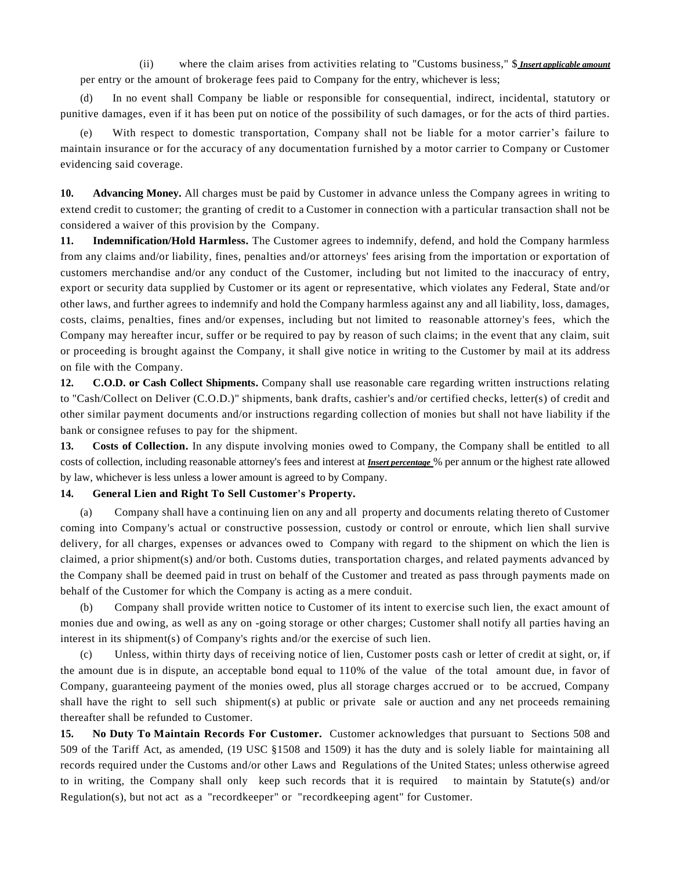(ii) where the claim arises from activities relating to "Customs business," \$ *Insert applicable amount* per entry or the amount of brokerage fees paid to Company for the entry, whichever is less;

(d) In no event shall Company be liable or responsible for consequential, indirect, incidental, statutory or punitive damages, even if it has been put on notice of the possibility of such damages, or for the acts of third parties.

With respect to domestic transportation, Company shall not be liable for a motor carrier's failure to maintain insurance or for the accuracy of any documentation furnished by a motor carrier to Company or Customer evidencing said coverage.

**10. Advancing Money.** All charges must be paid by Customer in advance unless the Company agrees in writing to extend credit to customer; the granting of credit to a Customer in connection with a particular transaction shall not be considered a waiver of this provision by the Company.

**11. Indemnification/Hold Harmless.** The Customer agrees to indemnify, defend, and hold the Company harmless from any claims and/or liability, fines, penalties and/or attorneys' fees arising from the importation or exportation of customers merchandise and/or any conduct of the Customer, including but not limited to the inaccuracy of entry, export or security data supplied by Customer or its agent or representative, which violates any Federal, State and/or other laws, and further agrees to indemnify and hold the Company harmless against any and all liability, loss, damages, costs, claims, penalties, fines and/or expenses, including but not limited to reasonable attorney's fees, which the Company may hereafter incur, suffer or be required to pay by reason of such claims; in the event that any claim, suit or proceeding is brought against the Company, it shall give notice in writing to the Customer by mail at its address on file with the Company.

**12. C.O.D. or Cash Collect Shipments.** Company shall use reasonable care regarding written instructions relating to "Cash/Collect on Deliver (C.O.D.)" shipments, bank drafts, cashier's and/or certified checks, letter(s) of credit and other similar payment documents and/or instructions regarding collection of monies but shall not have liability if the bank or consignee refuses to pay for the shipment.

**13. Costs of Collection.** In any dispute involving monies owed to Company, the Company shall be entitled to all costs of collection, including reasonable attorney's fees and interest at *Insert percentage* % per annum or the highest rate allowed by law, whichever is less unless a lower amount is agreed to by Company.

#### **14. General Lien and Right To Sell Customer's Property.**

(a) Company shall have a continuing lien on any and all property and documents relating thereto of Customer coming into Company's actual or constructive possession, custody or control or enroute, which lien shall survive delivery, for all charges, expenses or advances owed to Company with regard to the shipment on which the lien is claimed, a prior shipment(s) and/or both. Customs duties, transportation charges, and related payments advanced by the Company shall be deemed paid in trust on behalf of the Customer and treated as pass through payments made on behalf of the Customer for which the Company is acting as a mere conduit.

(b) Company shall provide written notice to Customer of its intent to exercise such lien, the exact amount of monies due and owing, as well as any on -going storage or other charges; Customer shall notify all parties having an interest in its shipment(s) of Company's rights and/or the exercise of such lien.

(c) Unless, within thirty days of receiving notice of lien, Customer posts cash or letter of credit at sight, or, if the amount due is in dispute, an acceptable bond equal to 110% of the value of the total amount due, in favor of Company, guaranteeing payment of the monies owed, plus all storage charges accrued or to be accrued, Company shall have the right to sell such shipment(s) at public or private sale or auction and any net proceeds remaining thereafter shall be refunded to Customer.

**15. No Duty To Maintain Records For Customer.** Customer acknowledges that pursuant to Sections 508 and 509 of the Tariff Act, as amended, (19 USC §1508 and 1509) it has the duty and is solely liable for maintaining all records required under the Customs and/or other Laws and Regulations of the United States; unless otherwise agreed to in writing, the Company shall only keep such records that it is required to maintain by Statute(s) and/or Regulation(s), but not act as a "recordkeeper" or "recordkeeping agent" for Customer.